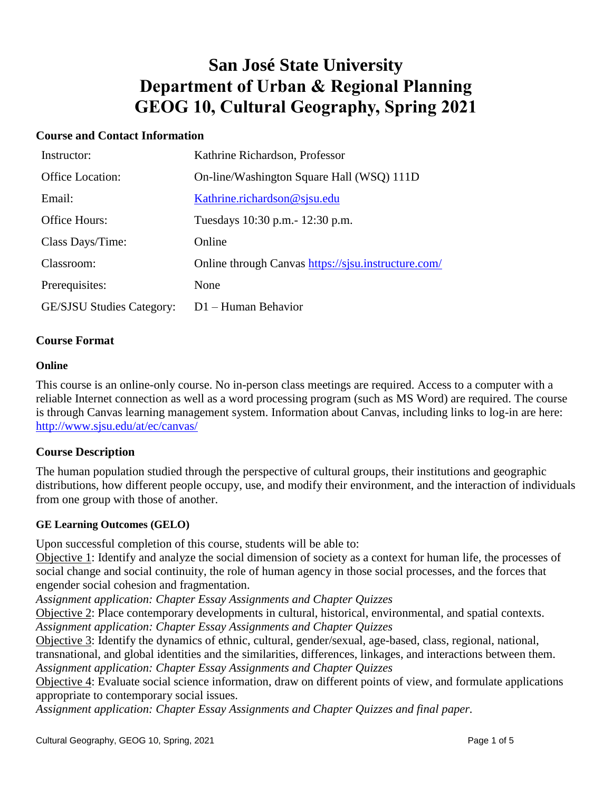# **San José State University Department of Urban & Regional Planning GEOG 10, Cultural Geography, Spring 2021**

## **Course and Contact Information**

| Instructor:                      | Kathrine Richardson, Professor                      |
|----------------------------------|-----------------------------------------------------|
| <b>Office Location:</b>          | On-line/Washington Square Hall (WSQ) 111D           |
| Email:                           | Kathrine.richardson@sjsu.edu                        |
| Office Hours:                    | Tuesdays 10:30 p.m. - 12:30 p.m.                    |
| Class Days/Time:                 | Online                                              |
| Classroom:                       | Online through Canvas https://sjsu.instructure.com/ |
| Prerequisites:                   | None                                                |
| <b>GE/SJSU Studies Category:</b> | $D1 -$ Human Behavior                               |

#### **Course Format**

#### **Online**

This course is an online-only course. No in-person class meetings are required. Access to a computer with a reliable Internet connection as well as a word processing program (such as MS Word) are required. The course is through Canvas learning management system. Information about Canvas, including links to log-in are here: <http://www.sjsu.edu/at/ec/canvas/>

### **Course Description**

The human population studied through the perspective of cultural groups, their institutions and geographic distributions, how different people occupy, use, and modify their environment, and the interaction of individuals from one group with those of another.

#### **GE Learning Outcomes (GELO)**

Upon successful completion of this course, students will be able to:

Objective 1: Identify and analyze the social dimension of society as a context for human life, the processes of social change and social continuity, the role of human agency in those social processes, and the forces that engender social cohesion and fragmentation.

*Assignment application: Chapter Essay Assignments and Chapter Quizzes*

Objective 2: Place contemporary developments in cultural, historical, environmental, and spatial contexts. *Assignment application: Chapter Essay Assignments and Chapter Quizzes*

Objective 3: Identify the dynamics of ethnic, cultural, gender/sexual, age-based, class, regional, national, transnational, and global identities and the similarities, differences, linkages, and interactions between them. *Assignment application: Chapter Essay Assignments and Chapter Quizzes*

Objective 4: Evaluate social science information, draw on different points of view, and formulate applications appropriate to contemporary social issues.

*Assignment application: Chapter Essay Assignments and Chapter Quizzes and final paper.*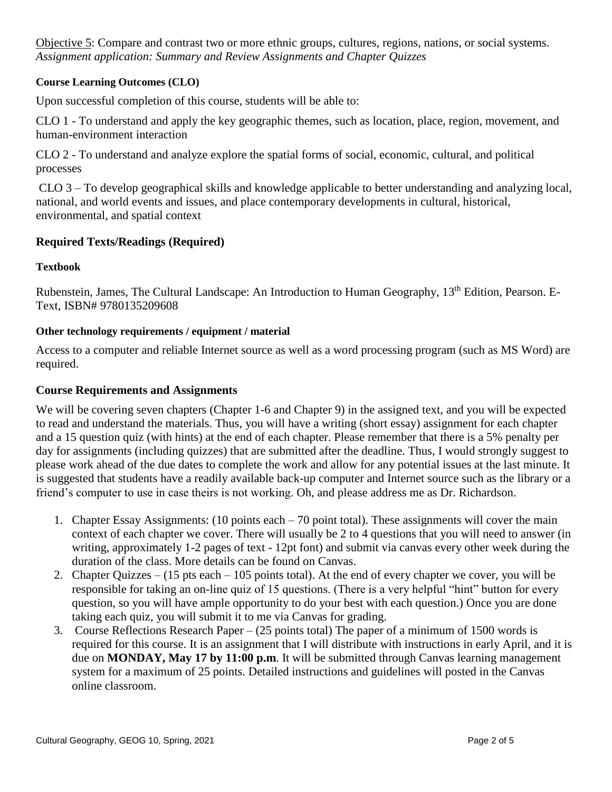Objective 5: Compare and contrast two or more ethnic groups, cultures, regions, nations, or social systems. *Assignment application: Summary and Review Assignments and Chapter Quizzes* 

## **Course Learning Outcomes (CLO)**

Upon successful completion of this course, students will be able to:

CLO 1 - To understand and apply the key geographic themes, such as location, place, region, movement, and human-environment interaction

CLO 2 - To understand and analyze explore the spatial forms of social, economic, cultural, and political processes

CLO 3 – To develop geographical skills and knowledge applicable to better understanding and analyzing local, national, and world events and issues, and place contemporary developments in cultural, historical, environmental, and spatial context

## **Required Texts/Readings (Required)**

### **Textbook**

Rubenstein, James, The Cultural Landscape: An Introduction to Human Geography, 13<sup>th</sup> Edition, Pearson. E-Text, ISBN# 9780135209608

#### **Other technology requirements / equipment / material**

Access to a computer and reliable Internet source as well as a word processing program (such as MS Word) are required.

### **Course Requirements and Assignments**

We will be covering seven chapters (Chapter 1-6 and Chapter 9) in the assigned text, and you will be expected to read and understand the materials. Thus, you will have a writing (short essay) assignment for each chapter and a 15 question quiz (with hints) at the end of each chapter. Please remember that there is a 5% penalty per day for assignments (including quizzes) that are submitted after the deadline. Thus, I would strongly suggest to please work ahead of the due dates to complete the work and allow for any potential issues at the last minute. It is suggested that students have a readily available back-up computer and Internet source such as the library or a friend's computer to use in case theirs is not working. Oh, and please address me as Dr. Richardson.

- 1. Chapter Essay Assignments: (10 points each 70 point total). These assignments will cover the main context of each chapter we cover. There will usually be 2 to 4 questions that you will need to answer (in writing, approximately 1-2 pages of text - 12pt font) and submit via canvas every other week during the duration of the class. More details can be found on Canvas.
- 2. Chapter Quizzes (15 pts each 105 points total). At the end of every chapter we cover, you will be responsible for taking an on-line quiz of 15 questions. (There is a very helpful "hint" button for every question, so you will have ample opportunity to do your best with each question.) Once you are done taking each quiz, you will submit it to me via Canvas for grading.
- 3. Course Reflections Research Paper (25 points total) The paper of a minimum of 1500 words is required for this course. It is an assignment that I will distribute with instructions in early April, and it is due on **MONDAY, May 17 by 11:00 p.m**. It will be submitted through Canvas learning management system for a maximum of 25 points. Detailed instructions and guidelines will posted in the Canvas online classroom.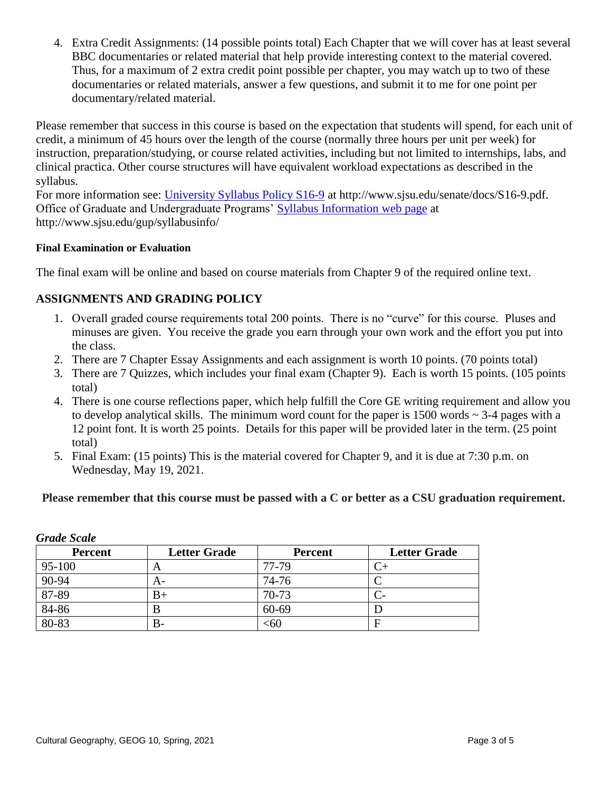4. Extra Credit Assignments: (14 possible points total) Each Chapter that we will cover has at least several BBC documentaries or related material that help provide interesting context to the material covered. Thus, for a maximum of 2 extra credit point possible per chapter, you may watch up to two of these documentaries or related materials, answer a few questions, and submit it to me for one point per documentary/related material.

Please remember that success in this course is based on the expectation that students will spend, for each unit of credit, a minimum of 45 hours over the length of the course (normally three hours per unit per week) for instruction, preparation/studying, or course related activities, including but not limited to internships, labs, and clinical practica. Other course structures will have equivalent workload expectations as described in the syllabus.

For more information see: [University Syllabus Policy S16-9](http://www.sjsu.edu/senate/docs/S16-9.pdf) at http://www.sjsu.edu/senate/docs/S16-9.pdf. Office of Graduate and Undergraduate Programs' [Syllabus Information](http://www.sjsu.edu/gup/syllabusinfo/) web page at http://www.sjsu.edu/gup/syllabusinfo/

## **Final Examination or Evaluation**

The final exam will be online and based on course materials from Chapter 9 of the required online text.

## **ASSIGNMENTS AND GRADING POLICY**

- 1. Overall graded course requirements total 200 points. There is no "curve" for this course. Pluses and minuses are given. You receive the grade you earn through your own work and the effort you put into the class.
- 2. There are 7 Chapter Essay Assignments and each assignment is worth 10 points. (70 points total)
- 3. There are 7 Quizzes, which includes your final exam (Chapter 9). Each is worth 15 points. (105 points total)
- 4. There is one course reflections paper, which help fulfill the Core GE writing requirement and allow you to develop analytical skills. The minimum word count for the paper is  $1500$  words  $\sim$  3-4 pages with a 12 point font. It is worth 25 points. Details for this paper will be provided later in the term. (25 point total)
- 5. Final Exam: (15 points) This is the material covered for Chapter 9, and it is due at 7:30 p.m. on Wednesday, May 19, 2021.

## **Please remember that this course must be passed with a C or better as a CSU graduation requirement.**

| <b>Percent</b> | <b>Letter Grade</b> | <b>Percent</b> | <b>Letter Grade</b> |
|----------------|---------------------|----------------|---------------------|
| 95-100         | A                   | 77-79          |                     |
| 90-94          | A-                  | 74-76          |                     |
| 87-89          | $_{\rm B+}$         | 70-73          | $\mathcal{C}$       |
| 84-86          | В                   | 60-69          |                     |
| 80-83          | В-                  | $<$ 60         |                     |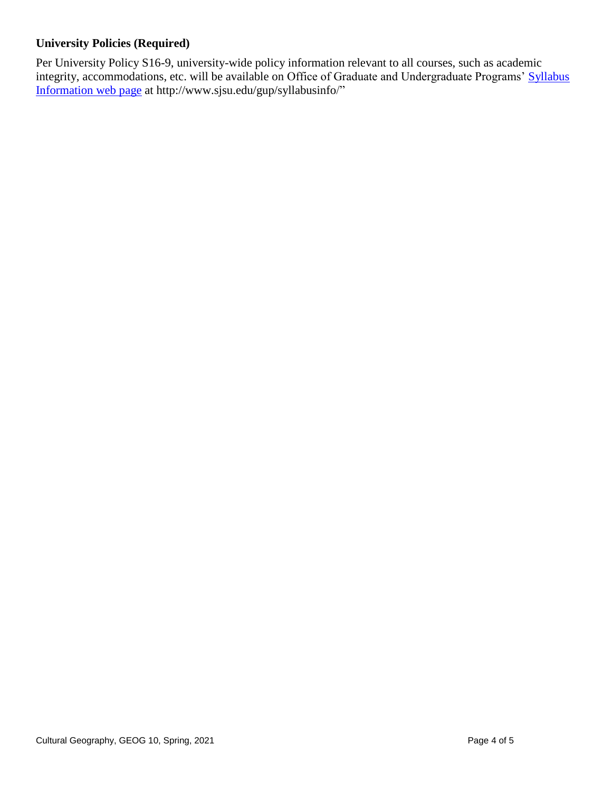## **University Policies (Required)**

Per University Policy S16-9, university-wide policy information relevant to all courses, such as academic integrity, accommodations, etc. will be available on Office of Graduate and Undergraduate Programs' [Syllabus](http://www.sjsu.edu/gup/syllabusinfo/)  [Information](http://www.sjsu.edu/gup/syllabusinfo/) web page at http://www.sjsu.edu/gup/syllabusinfo/"